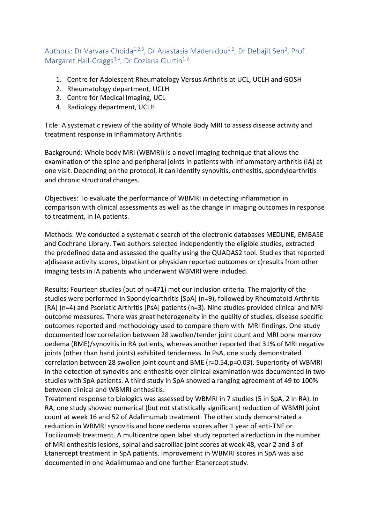Authors: Dr Varvara Choida<sup>1,2,3</sup>, Dr Anastasia Madenidou<sup>1,2</sup>, Dr Debajit Sen<sup>2</sup>, Prof Margaret Hall-Craggs<sup>3,4</sup>, Dr Coziana Ciurtin<sup>1,2</sup>

- 1. Centre for Adolescent Rheumatology Versus Arthritis at UCL, UCLH and GOSH
- 2. Rheumatology department, UCLH
- 3. Centre for Medical Imaging, UCL
- 4. Radiology department, UCLH

Title: A systematic review of the ability of Whole Body MRI to assess disease activity and treatment response in Inflammatory Arthritis

Background: Whole body MRI (WBMRI) is a novel imaging technique that allows the examination of the spine and peripheral joints in patients with inflammatory arthritis (IA) at one visit. Depending on the protocol, it can identify synovitis, enthesitis, spondyloarthritis and chronic structural changes.

Objectives: To evaluate the performance of WBMRI in detecting inflammation in comparison with clinical assessments as well as the change in imaging outcomes in response to treatment, in IA patients.

Methods: We conducted a systematic search of the electronic databases MEDLINE, EMBASE and Cochrane Library. Two authors selected independently the eligible studies, extracted the predefined data and assessed the quality using the QUADAS2 tool. Studies that reported a)disease activity scores, b)patient or physician reported outcomes or c)results from other imaging tests in IA patients who underwent WBMRI were included.

Results: Fourteen studies (out of n=471) met our inclusion criteria. The majority of the studies were performed in Spondyloarthritis [SpA] (n=9), followed by Rheumatoid Arthritis [RA] (n=4) and Psoriatic Arthritis [PsA] patients (n=3). Nine studies provided clinical and MRI outcome measures. There was great heterogeneity in the quality of studies, disease specific outcomes reported and methodology used to compare them with MRI findings. One study documented low correlation between 28 swollen/tender joint count and MRI bone marrow oedema (BME)/synovitis in RA patients, whereas another reported that 31% of MRI negative joints (other than hand joints) exhibited tenderness. In PsA, one study demonstrated correlation between 28 swollen joint count and BME (r=0.54,p=0.03). Superiority of WBMRI in the detection of synovitis and enthesitis over clinical examination was documented in two studies with SpA patients. A third study in SpA showed a ranging agreement of 49 to 100% between clinical and WBMRI enthesitis.

Treatment response to biologics was assessed by WBMRI in 7 studies (5 in SpA, 2 in RA). In RA, one study showed numerical (but not statistically significant) reduction of WBMRI joint count at week 16 and 52 of Adalimumab treatment. The other study demonstrated a reduction in WBMRI synovitis and bone oedema scores after 1 year of anti-TNF or Tocilizumab treatment. A multicentre open label study reported a reduction in the number of MRI enthesitis lesions, spinal and sacroiliac joint scores at week 48, year 2 and 3 of Etanercept treatment in SpA patients. Improvement in WBMRI scores in SpA was also documented in one Adalimumab and one further Etanercept study.